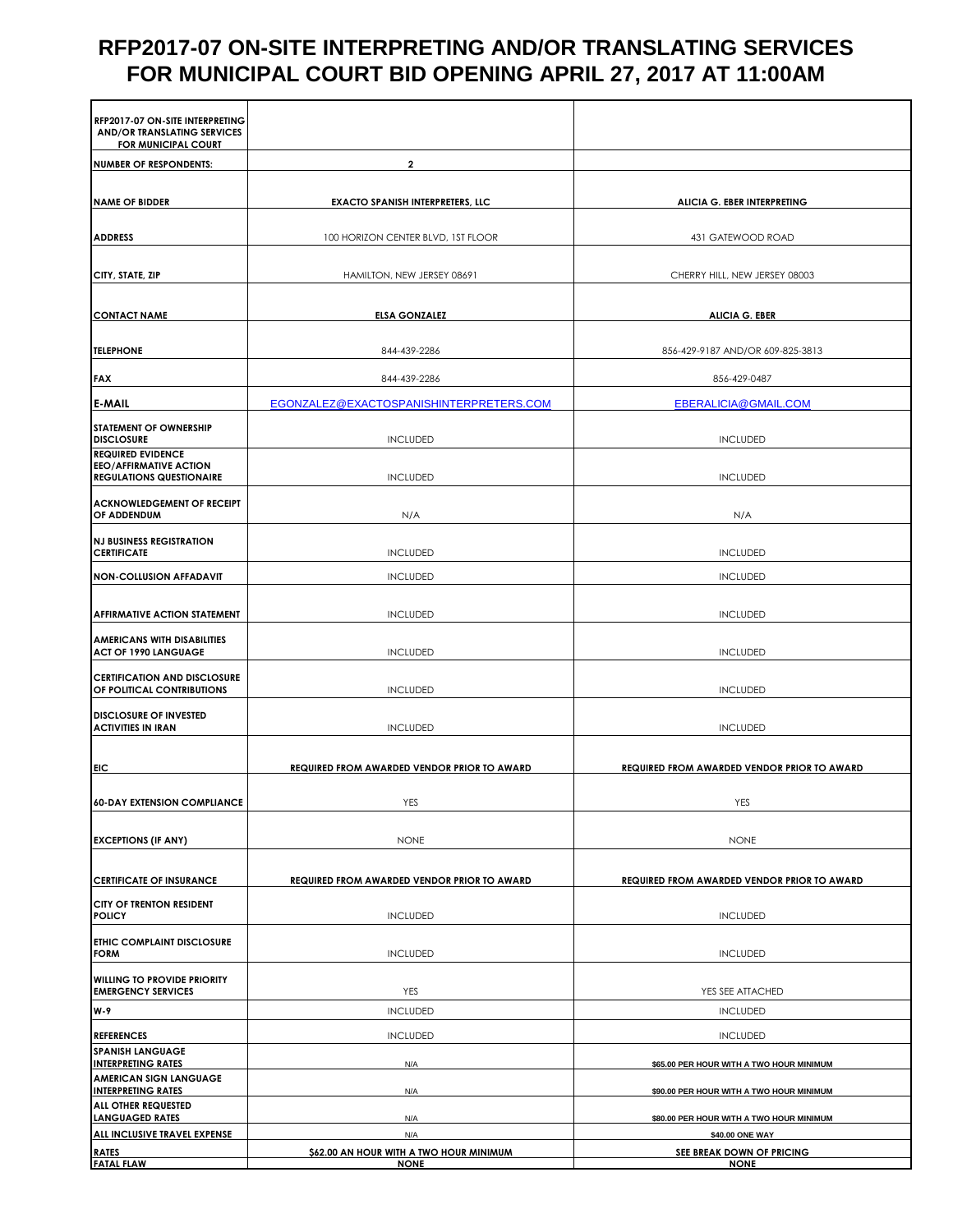## **RFP2017-07 ON-SITE INTERPRETING AND/OR TRANSLATING SERVICES FOR MUNICIPAL COURT BID OPENING APRIL 27, 2017 AT 11:00AM**

| <b>RFP2017-07 ON-SITE INTERPRETING</b><br><b>AND/OR TRANSLATING SERVICES</b><br>FOR MUNICIPAL COURT |                                                    |                                                             |
|-----------------------------------------------------------------------------------------------------|----------------------------------------------------|-------------------------------------------------------------|
| <b>NUMBER OF RESPONDENTS:</b>                                                                       | $\overline{2}$                                     |                                                             |
|                                                                                                     |                                                    |                                                             |
| <b>NAME OF BIDDER</b>                                                                               | <b>EXACTO SPANISH INTERPRETERS, LLC</b>            | ALICIA G. EBER INTERPRETING                                 |
| <b>ADDRESS</b>                                                                                      | 100 HORIZON CENTER BLVD, 1ST FLOOR                 | 431 GATEWOOD ROAD                                           |
|                                                                                                     |                                                    |                                                             |
| CITY, STATE, ZIP                                                                                    | HAMILTON, NEW JERSEY 08691                         | CHERRY HILL, NEW JERSEY 08003                               |
| <b>CONTACT NAME</b>                                                                                 | <b>ELSA GONZALEZ</b>                               | <b>ALICIA G. EBER</b>                                       |
| <b>TELEPHONE</b>                                                                                    | 844-439-2286                                       | 856-429-9187 AND/OR 609-825-3813                            |
| <b>FAX</b>                                                                                          | 844-439-2286                                       | 856-429-0487                                                |
| <b>E-MAIL</b>                                                                                       | EGONZALEZ@EXACTOSPANISHINTERPRETERS.COM            | EBERALICIA@GMAIL.COM                                        |
| <b>STATEMENT OF OWNERSHIP</b>                                                                       |                                                    |                                                             |
| <b>DISCLOSURE</b>                                                                                   | <b>INCLUDED</b>                                    | <b>INCLUDED</b>                                             |
| <b>REQUIRED EVIDENCE</b><br><b>EEO/AFFIRMATIVE ACTION</b><br><b>REGULATIONS QUESTIONAIRE</b>        | <b>INCLUDED</b>                                    | <b>INCLUDED</b>                                             |
| <b>ACKNOWLEDGEMENT OF RECEIPT</b><br>OF ADDENDUM                                                    | N/A                                                | N/A                                                         |
| <b>NJ BUSINESS REGISTRATION</b><br><b>CERTIFICATE</b>                                               | <b>INCLUDED</b>                                    | <b>INCLUDED</b>                                             |
| <b>NON-COLLUSION AFFADAVIT</b>                                                                      | <b>INCLUDED</b>                                    | <b>INCLUDED</b>                                             |
| <b>AFFIRMATIVE ACTION STATEMENT</b>                                                                 | INCLUDED                                           | <b>INCLUDED</b>                                             |
| <b>AMERICANS WITH DISABILITIES</b><br><b>ACT OF 1990 LANGUAGE</b>                                   | <b>INCLUDED</b>                                    | <b>INCLUDED</b>                                             |
| <b>CERTIFICATION AND DISCLOSURE</b><br>OF POLITICAL CONTRIBUTIONS                                   | <b>INCLUDED</b>                                    | <b>INCLUDED</b>                                             |
| <b>DISCLOSURE OF INVESTED</b><br><b>ACTIVITIES IN IRAN</b>                                          | <b>INCLUDED</b>                                    | <b>INCLUDED</b>                                             |
| <b>EIC</b>                                                                                          | <b>REQUIRED FROM AWARDED VENDOR PRIOR TO AWARD</b> | <b>REQUIRED FROM AWARDED VENDOR PRIOR TO AWARD</b>          |
|                                                                                                     |                                                    |                                                             |
| <b>60-DAY EXTENSION COMPLIANCE</b>                                                                  | YES                                                | YES                                                         |
| <b>EXCEPTIONS (IF ANY)</b>                                                                          | <b>NONE</b>                                        | <b>NONE</b>                                                 |
| <b>CERTIFICATE OF INSURANCE</b>                                                                     | <b>REQUIRED FROM AWARDED VENDOR PRIOR TO AWARD</b> | <b>REQUIRED FROM AWARDED VENDOR PRIOR TO AWARD</b>          |
| <b>CITY OF TRENTON RESIDENT</b><br><b>POLICY</b>                                                    | <b>INCLUDED</b>                                    | <b>INCLUDED</b>                                             |
| <b>ETHIC COMPLAINT DISCLOSURE</b><br><b>FORM</b>                                                    | <b>INCLUDED</b>                                    | <b>INCLUDED</b>                                             |
| <b>WILLING TO PROVIDE PRIORITY</b>                                                                  |                                                    |                                                             |
| <b>EMERGENCY SERVICES</b>                                                                           | <b>YES</b>                                         | YES SEE ATTACHED                                            |
| <b>W-9</b>                                                                                          | <b>INCLUDED</b>                                    | <b>INCLUDED</b>                                             |
| <b>REFERENCES</b>                                                                                   | <b>INCLUDED</b>                                    | <b>INCLUDED</b>                                             |
| <b>SPANISH LANGUAGE</b><br><b>INTERPRETING RATES</b>                                                | N/A                                                | \$65.00 PER HOUR WITH A TWO HOUR MINIMUM                    |
| <b>AMERICAN SIGN LANGUAGE</b><br><b>INTERPRETING RATES</b>                                          | N/A                                                | \$90.00 PER HOUR WITH A TWO HOUR MINIMUM                    |
| ALL OTHER REQUESTED<br><b>LANGUAGED RATES</b>                                                       |                                                    |                                                             |
| ALL INCLUSIVE TRAVEL EXPENSE                                                                        | N/A<br>N/A                                         | \$80.00 PER HOUR WITH A TWO HOUR MINIMUM<br>\$40.00 ONE WAY |
| <b>RATES</b>                                                                                        | \$62.00 AN HOUR WITH A TWO HOUR MINIMUM            | SEE BREAK DOWN OF PRICING                                   |
| <b>FATAL FLAW</b>                                                                                   | <b>NONE</b>                                        | <b>NONE</b>                                                 |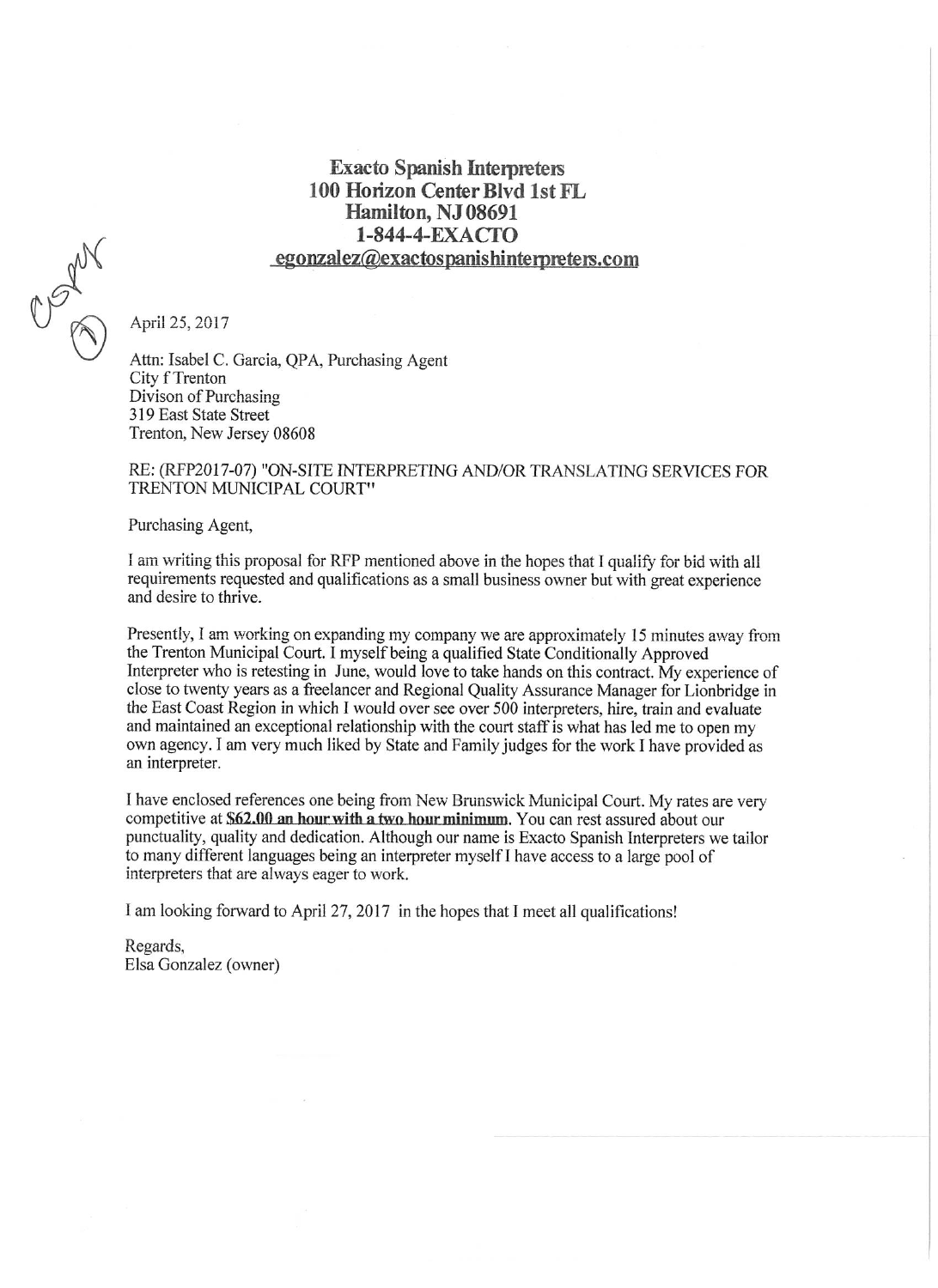### **Exacto Spanish Interpreters** 100 Horizon Center Blvd 1st FL Hamilton, NJ 08691 1-844-4-EXACTO egonzalez@exactospanishinterpreters.com



April 25, 2017

Attn: Isabel C. Garcia, OPA, Purchasing Agent City f Trenton Divison of Purchasing 319 East State Street Trenton, New Jersey 08608

#### RE: (RFP2017-07) "ON-SITE INTERPRETING AND/OR TRANSLATING SERVICES FOR TRENTON MUNICIPAL COURT"

Purchasing Agent,

I am writing this proposal for RFP mentioned above in the hopes that I qualify for bid with all requirements requested and qualifications as a small business owner but with great experience and desire to thrive.

Presently, I am working on expanding my company we are approximately 15 minutes away from the Trenton Municipal Court. I myself being a qualified State Conditionally Approved Interpreter who is retesting in June, would love to take hands on this contract. My experience of close to twenty years as a freelancer and Regional Quality Assurance Manager for Lionbridge in the East Coast Region in which I would over see over 500 interpreters, hire, train and evaluate and maintained an exceptional relationship with the court staff is what has led me to open my own agency. I am very much liked by State and Family judges for the work I have provided as an interpreter.

I have enclosed references one being from New Brunswick Municipal Court. My rates are very competitive at \$62.00 an hour with a two hour minimum. You can rest assured about our punctuality, quality and dedication. Although our name is Exacto Spanish Interpreters we tailor to many different languages being an interpreter myself I have access to a large pool of interpreters that are always eager to work.

I am looking forward to April 27, 2017 in the hopes that I meet all qualifications!

Regards, Elsa Gonzalez (owner)